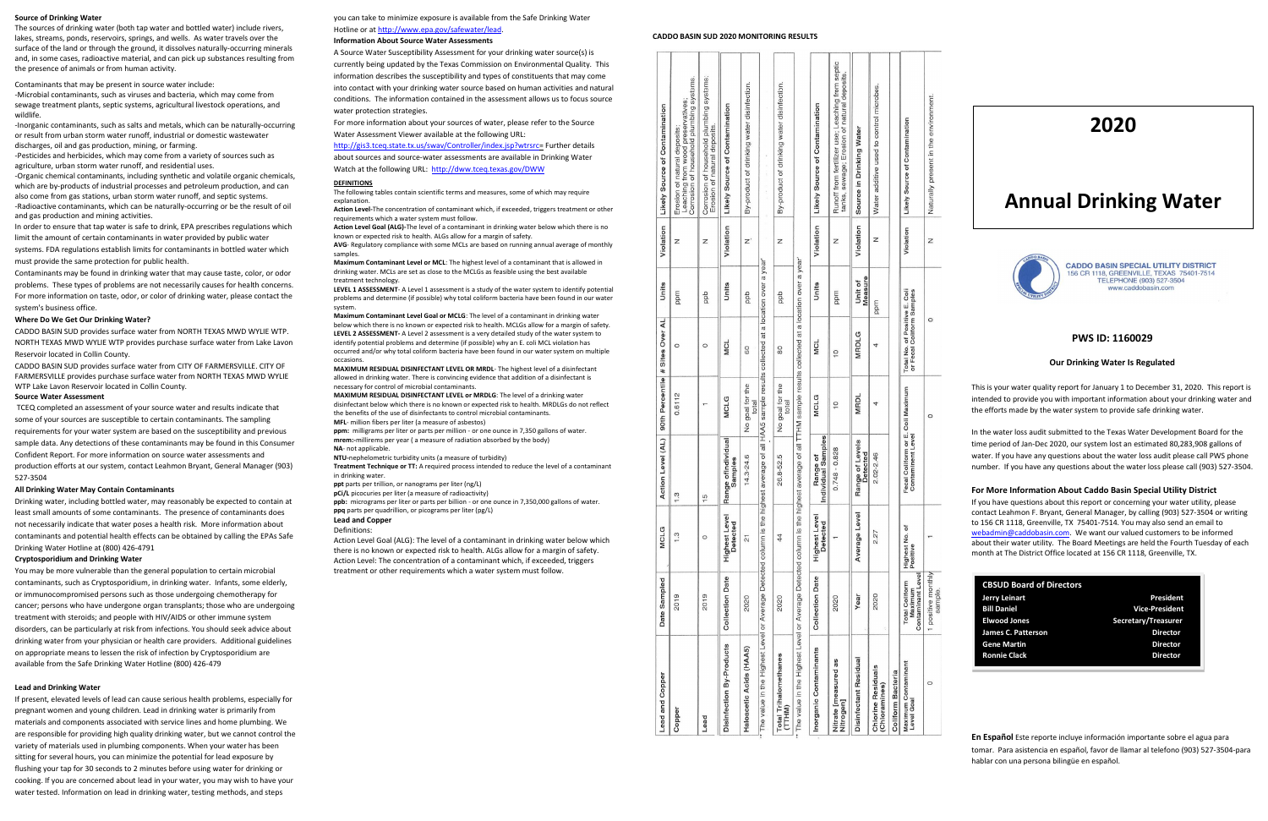## **Source of Drinking Water**

The sources of drinking water (both tap water and bottled water) include rivers, lakes, streams, ponds, reservoirs, springs, and wells. As water travels over the surface of the land or through the ground, it dissolves naturally-occurring minerals and, in some cases, radioactive material, and can pick up substances resulting from the presence of animals or from human activity.

Contaminants that may be present in source water include:

-Microbial contaminants, such as viruses and bacteria, which may come from sewage treatment plants, septic systems, agricultural livestock operations, and wildlife.

-Inorganic contaminants, such as salts and metals, which can be naturally-occurring or result from urban storm water runoff, industrial or domestic wastewater discharges, oil and gas production, mining, or farming.

-Pesticides and herbicides, which may come from a variety of sources such as agriculture, urban storm water runoff, and residential uses.

-Organic chemical contaminants, including synthetic and volatile organic chemicals, which are by-products of industrial processes and petroleum production, and can also come from gas stations, urban storm water runoff, and septic systems. -Radioactive contaminants, which can be naturally-occurring or be the result of oil and gas production and mining activities.

In order to ensure that tap water is safe to drink, EPA prescribes regulations which limit the amount of certain contaminants in water provided by public water

systems. FDA regulations establish limits for contaminants in bottled water which must provide the same protection for public health.

Contaminants may be found in drinking water that may cause taste, color, or odor problems. These types of problems are not necessarily causes for health concerns. For more information on taste, odor, or color of drinking water, please contact the system's business office.

## **Where Do We Get Our Drinking Water?**

CADDO BASIN SUD provides surface water from NORTH TEXAS MWD WYLIE WTP. NORTH TEXAS MWD WYLIE WTP provides purchase surface water from Lake Lavon Reservoir located in Collin County.

CADDO BASIN SUD provides surface water from CITY OF FARMERSVILLE. CITY OF FARMERSVILLE provides purchase surface water from NORTH TEXAS MWD WYLIE WTP Lake Lavon Reservoir located in Collin County.

# **Source Water Assessment**

you can take to minimize exposure is available from the Safe Drinking Water Hotline or a[t http://www.epa.gov/safewater/lead.](http://www.epa.gov/safewater/lead)

TCEQ completed an assessment of your source water and results indicate that some of your sources are susceptible to certain contaminants. The sampling requirements for your water system are based on the susceptibility and previous sample data. Any detections of these contaminants may be found in this Consumer Confident Report. For more information on source water assessments and production efforts at our system, contact Leahmon Bryant, General Manager (903) 527-3504

### **All Drinking Water May Contain Contaminants**

Drinking water, including bottled water, may reasonably be expected to contain at least small amounts of some contaminants. The presence of contaminants does not necessarily indicate that water poses a health risk. More information about contaminants and potential health effects can be obtained by calling the EPAs Safe Drinking Water Hotline at (800) 426-4791

## **Cryptosporidium and Drinking Water**

You may be more vulnerable than the general population to certain microbial contaminants, such as Cryptosporidium, in drinking water. Infants, some elderly, or immunocompromised persons such as those undergoing chemotherapy for cancer; persons who have undergone organ transplants; those who are undergoing treatment with steroids; and people with HIV/AIDS or other immune system disorders, can be particularly at risk from infections. You should seek advice about drinking water from your physician or health care providers. Additional guidelines on appropriate means to lessen the risk of infection by Cryptosporidium are available from the Safe Drinking Water Hotline (800) 426-479

**Treatment Technique or TT:** A required process intended to reduce the level of a contaminant in drinking water

## **Lead and Drinking Water**

If present, elevated levels of lead can cause serious health problems, especially for pregnant women and young children. Lead in drinking water is primarily from materials and components associated with service lines and home plumbing. We are responsible for providing high quality drinking water, but we cannot control the variety of materials used in plumbing components. When your water has been sitting for several hours, you can minimize the potential for lead exposure by flushing your tap for 30 seconds to 2 minutes before using water for drinking or cooking. If you are concerned about lead in your water, you may wish to have your water tested. Information on lead in drinking water, testing methods, and steps

# **Information About Source Water Assessments**

A Source Water Susceptibility Assessment for your drinking water source(s) is currently being updated by the Texas Commission on Environmental Quality. This information describes the susceptibility and types of constituents that may come into contact with your drinking water source based on human activities and natural conditions. The information contained in the assessment allows us to focus source water protection strategies.

For more information about your sources of water, please refer to the Source Water Assessment Viewer available at the following URL:

[http://gis3.tceq.state.tx.us/swav/Controller/index.jsp?wtrsrc=](http://gis3.tceq.state.tx.us/swav/Controller/index.jsp?wtrsrc) Further details about sources and source-water assessments are available in Drinking Water Watch at the following URL:<http://dww.tceq.texas.gov/DWW>

#### **DEFINITIONS**

The following tables contain scientific terms and measures, some of which may require explanation.

**Action Level-**The concentration of contaminant which, if exceeded, triggers treatment or other requirements which a water system must follow.

**Action Level Goal (ALG)-**The level of a contaminant in drinking water below which there is no known or expected risk to health. ALGs allow for a margin of safety.

**AVG**- Regulatory compliance with some MCLs are based on running annual average of monthly samples.

**Maximum Contaminant Level or MCL**: The highest level of a contaminant that is allowed in drinking water. MCLs are set as close to the MCLGs as feasible using the best available treatment technology.

**LEVEL 1 ASSESSMENT**- A Level 1 assessment is a study of the water system to identify potential problems and determine (if possible) why total coliform bacteria have been found in our water system.

**Maximum Contaminant Level Goal or MCLG**: The level of a contaminant in drinking water below which there is no known or expected risk to health. MCLGs allow for a margin of safety. **LEVEL 2 ASSESSMENT-** A Level 2 assessment is a very detailed study of the water system to identify potential problems and determine (if possible) why an E. coli MCL violation has occurred and/or why total coliform bacteria have been found in our water system on multiple occasions.

**MAXIMUM RESIDUAL DISINFECTANT LEVEL OR MRDL**- The highest level of a disinfectant allowed in drinking water. There is convincing evidence that addition of a disinfectant is necessary for control of microbial contaminants.

**MAXIMUM RESIDUAL DISINFECTANT LEVEL or MRDLG**: The level of a drinking water disinfectant below which there is no known or expected risk to health. MRDLGs do not reflect the benefits of the use of disinfectants to control microbial contaminants. **MFL**- million fibers per liter (a measure of asbestos)

**ppm:** milligrams per liter or parts per million - or one ounce in 7,350 gallons of water. **mrem:-**millirems per year ( a measure of radiation absorbed by the body) **NA**- not applicable.

**NTU-**nephelometric turbidity units (a measure of turbidity)

**ppt** parts per trillion, or nanograms per liter (ng/L)

**pCi/L** picocuries per liter (a measure of radioactivity)

**ppb:** micrograms per liter or parts per billion - or one ounce in 7,350,000 gallons of water. **ppq** parts per quadrillion, or picograms per liter (pg/L)

**Lead and Copper**

#### **Definitions**

Action Level Goal (ALG): The level of a contaminant in drinking water below which there is no known or expected risk to health. ALGs allow for a margin of safety. Action Level: The concentration of a contaminant which, if exceeded, triggers treatment or other requirements which a water system must follow.

### **CADDO BASIN SUD 2020 MONITORING RESULTS**

 $\frac{1}{4}$ ē

 $\overline{5}$ 

Hoe  $(AL)$ 

O

| Copper                                                                                                                                          | 2019                                                                      | $\frac{3}{2}$                    | $\ddot{3}$                                             | 0.6112                   | $\circ$                                                    | ppm                | Z         | Corrosion of household plumbing systems.<br>Leaching from wood preservatives;<br>Erosion of natural deposits; |
|-------------------------------------------------------------------------------------------------------------------------------------------------|---------------------------------------------------------------------------|----------------------------------|--------------------------------------------------------|--------------------------|------------------------------------------------------------|--------------------|-----------|---------------------------------------------------------------------------------------------------------------|
| Lead                                                                                                                                            | 2019                                                                      | $\circ$                          | $\frac{5}{2}$                                          |                          | $\circ$                                                    | ddd                | Z         | Corrosion of household plumbing systems;<br>Erosion of natural deposits.                                      |
| Disinfection By-Products                                                                                                                        | <b>Collection Date</b>                                                    | Highest Level<br><b>Detected</b> | Range ofIndividual<br>Samples                          | <b>MCLG</b>              | <b>MCL</b>                                                 | Units              | Violation | Likely Source of Contamination                                                                                |
| Haloacetic Acids (HAA5)                                                                                                                         | 2020                                                                      | $\overline{2}$                   | 14.3-24.6                                              | No goal for the<br>total | 60                                                         | ddd                | Z'        | By-product of drinking water disinfection.                                                                    |
| The value in the Highest Level or Average Detected column is the highest average of all HAA5 sample results collected at a location over a year |                                                                           |                                  |                                                        |                          |                                                            |                    |           |                                                                                                               |
| <b>Total Trihalomethanes</b><br>(TTHM)                                                                                                          | 2020                                                                      | 44                               | 26.8-52.5                                              | No goal for the<br>total | 80                                                         | ddd                | Z         | By-product of drinking water disinfection.                                                                    |
| The value in the Highest Level or Average Detected column is the highest average of all TTHM sample results collected at a location over a year |                                                                           |                                  |                                                        |                          |                                                            |                    |           |                                                                                                               |
| Inorganic Contaminants                                                                                                                          | <b>Collection Date</b>                                                    | <b>Highest Level</b><br>Detected | Individual Samples<br>Range of                         | <b>MCLG</b>              | <b>MCL</b>                                                 | Units              | Violation | Likely Source of Contamination                                                                                |
| Nitrate [measured as<br>Nitrogenj                                                                                                               | 2020                                                                      |                                  | $0.748 - 0.828$                                        | $\frac{0}{1}$            | $\overline{10}$                                            | ppm                | Z         | Runoff from fertilizer use; Leaching from septic<br>tanks, sewage; Erosion of natural deposits.               |
| Disinfectant Residual                                                                                                                           | Year                                                                      | Average Level                    | Range of Levels<br>Detected                            | <b>MRDL</b>              | MRDLG                                                      | Measure<br>Unit of | Violation | Source in Drinking Water                                                                                      |
| Chlorine Residuals<br>(Chloramines)                                                                                                             | 2020                                                                      | 2.27                             | 2.02-2.46                                              | 4                        | 4                                                          | ppm                | Z         | Water additive used to control microbes.                                                                      |
| Coliform Bacteria                                                                                                                               |                                                                           |                                  |                                                        |                          |                                                            |                    |           |                                                                                                               |
| Maximum Contaminant<br>Level Goal                                                                                                               | Contaminant Level<br><b>Total Coliform</b><br>Maximum                     | Highest No. of<br>Positive       | Fecal Coliform or E. Coli Maximum<br>Contaminent Level |                          | Total No. of Positive E. Coli<br>or Fecal Coliform Samples |                    | Violation | Likely Source of Contamination                                                                                |
| $\epsilon$                                                                                                                                      | <b>All comparable in the comparable in the first of the comparable in</b> |                                  |                                                        |                          |                                                            |                    | ī         |                                                                                                               |

# **PWS ID: 1160029**

## **Our Drinking Water Is Regulated**

This is your water quality report for January 1 to December 31, 2020. This report is intended to provide you with important information about your drinking water and the efforts made by the water system to provide safe drinking water.

In the water loss audit submitted to the Texas Water Development Board for the time period of Jan-Dec 2020, our system lost an estimated 80,283,908 gallons of water. If you have any questions about the water loss audit please call PWS phone number. If you have any questions about the water loss please call (903) 527-3504.

# **For More Information About Caddo Basin Special Utility District**

If you have questions about this report or concerning your water utility, please contact Leahmon F. Bryant, General Manager, by calling (903) 527-3504 or writing to 156 CR 1118, Greenville, TX 75401-7514. You may also send an email to [webadmin@caddobasin.com.](mailto:webadmin@caddobasin.com) We want our valued customers to be informed about their water utility. The Board Meetings are held the Fourth Tuesday of each month at The District Office located at 156 CR 1118, Greenville, TX.

**En Español** Este reporte incluye información importante sobre el agua para tomar. Para asistencia en español, favor de llamar al telefono (903) 527-3504-para hablar con una persona bilingüe en español.

| <b>CBSUD Board of Directors</b> |                       |
|---------------------------------|-----------------------|
| Jerry Leinart                   | President             |
| <b>Bill Daniel</b>              | <b>Vice-President</b> |
| <b>Elwood Jones</b>             | Secretary/Treasurer   |
| <b>James C. Patterson</b>       | <b>Director</b>       |
| <b>Gene Martin</b>              | <b>Director</b>       |
| <b>Ronnie Clack</b>             | <b>Director</b>       |
|                                 |                       |

# **2020**

# **Annual Drinking Water**



**CADDO BASIN SPECIAL UTILITY DISTRICT** 156 CR 1118, GREENVILLE, TEXAS 75401-7514<br>TELEPHONE (903) 527-3504